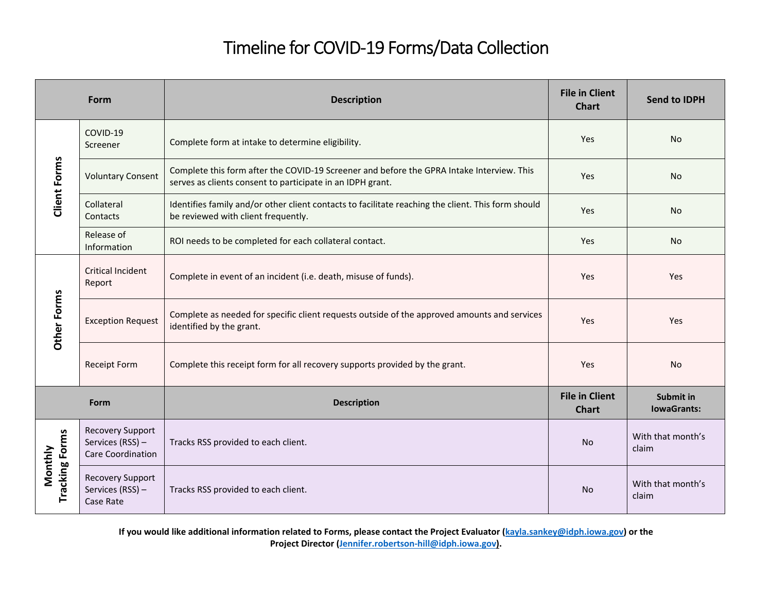## Timeline for COVID‐19 Forms/Data Collection

| Form                             |                                                                  | <b>Description</b>                                                                                                                                      | <b>File in Client</b><br><b>Chart</b> | <b>Send to IDPH</b>             |
|----------------------------------|------------------------------------------------------------------|---------------------------------------------------------------------------------------------------------------------------------------------------------|---------------------------------------|---------------------------------|
|                                  | COVID-19<br>Screener                                             | Complete form at intake to determine eligibility.                                                                                                       | Yes                                   | No                              |
| <b>Client Forms</b>              | <b>Voluntary Consent</b>                                         | Complete this form after the COVID-19 Screener and before the GPRA Intake Interview. This<br>serves as clients consent to participate in an IDPH grant. | Yes                                   | No                              |
|                                  | Collateral<br>Contacts                                           | Identifies family and/or other client contacts to facilitate reaching the client. This form should<br>be reviewed with client frequently.               | Yes                                   | No                              |
|                                  | Release of<br>Information                                        | ROI needs to be completed for each collateral contact.                                                                                                  | Yes                                   | <b>No</b>                       |
|                                  | <b>Critical Incident</b><br>Report                               | Complete in event of an incident (i.e. death, misuse of funds).                                                                                         | Yes                                   | Yes                             |
| Other Forms                      | <b>Exception Request</b>                                         | Complete as needed for specific client requests outside of the approved amounts and services<br>identified by the grant.                                | Yes                                   | Yes                             |
|                                  | <b>Receipt Form</b>                                              | Complete this receipt form for all recovery supports provided by the grant.                                                                             | Yes                                   | <b>No</b>                       |
| Form                             |                                                                  | <b>Description</b>                                                                                                                                      | <b>File in Client</b><br><b>Chart</b> | Submit in<br><b>lowaGrants:</b> |
|                                  | <b>Recovery Support</b><br>Services (RSS) -<br>Care Coordination | Tracks RSS provided to each client.                                                                                                                     | No                                    | With that month's<br>claim      |
| <b>Tracking Forms</b><br>Monthly | <b>Recovery Support</b><br>Services (RSS) -<br>Case Rate         | Tracks RSS provided to each client.                                                                                                                     | <b>No</b>                             | With that month's<br>claim      |

If you would like additional information related to Forms, please contact the Project Evaluator (<mark>kayla.sankey@idph.iowa.gov</mark>) or the **Project Director (Jennifer.robertson‐hill@idph.iowa.gov).**